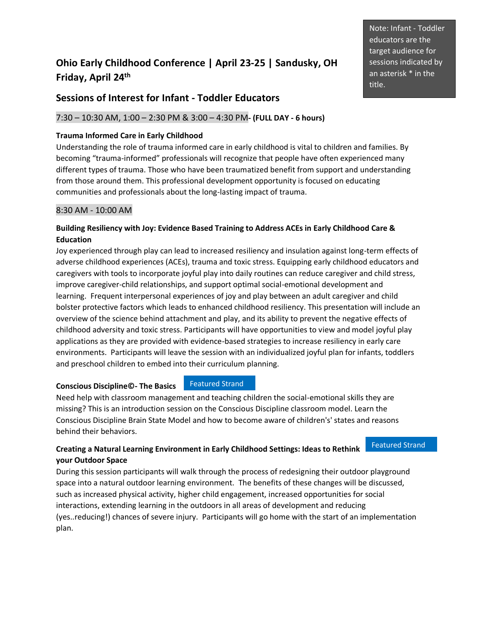# **Ohio Early Childhood Conference | April 23-25 | Sandusky, OH Friday, April 24 th**

# **Sessions of Interest for Infant - Toddler Educators**

# 7:30 – 10:30 AM, 1:00 – 2:30 PM & 3:00 – 4:30 PM**- (FULL DAY - 6 hours)**

# **Trauma Informed Care in Early Childhood**

Understanding the role of trauma informed care in early childhood is vital to children and families. By becoming "trauma-informed" professionals will recognize that people have often experienced many different types of trauma. Those who have been traumatized benefit from support and understanding from those around them. This professional development opportunity is focused on educating communities and professionals about the long-lasting impact of trauma.

# 8:30 AM - 10:00 AM

# **Building Resiliency with Joy: Evidence Based Training to Address ACEs in Early Childhood Care & Education**

Joy experienced through play can lead to increased resiliency and insulation against long-term effects of adverse childhood experiences (ACEs), trauma and toxic stress. Equipping early childhood educators and caregivers with tools to incorporate joyful play into daily routines can reduce caregiver and child stress, improve caregiver-child relationships, and support optimal social-emotional development and learning. Frequent interpersonal experiences of joy and play between an adult caregiver and child bolster protective factors which leads to enhanced childhood resiliency. This presentation will include an overview of the science behind attachment and play, and its ability to prevent the negative effects of childhood adversity and toxic stress. Participants will have opportunities to view and model joyful play applications as they are provided with evidence-based strategies to increase resiliency in early care environments. Participants will leave the session with an individualized joyful plan for infants, toddlers and preschool children to embed into their curriculum planning.

### **Conscious Discipline©- The Basics**

# Featured Strand

Need help with classroom management and teaching children the social-emotional skills they are missing? This is an introduction session on the Conscious Discipline classroom model. Learn the Conscious Discipline Brain State Model and how to become aware of children's' states and reasons behind their behaviors.

# **Creating a Natural Learning Environment in Early Childhood Settings: Ideas to Rethink your Outdoor Space**

Featured Strand

During this session participants will walk through the process of redesigning their outdoor playground space into a natural outdoor learning environment. The benefits of these changes will be discussed, such as increased physical activity, higher child engagement, increased opportunities for social interactions, extending learning in the outdoors in all areas of development and reducing (yes..reducing!) chances of severe injury. Participants will go home with the start of an implementation plan.

Note: Infant - Toddler educators are the target audience for sessions indicated by an asterisk \* in the title.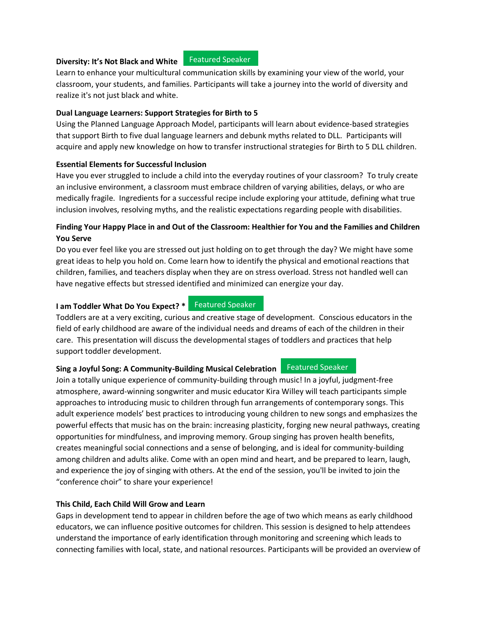#### **Diversity: It's Not Black and White**

#### Featured Speaker

Learn to enhance your multicultural communication skills by examining your view of the world, your classroom, your students, and families. Participants will take a journey into the world of diversity and realize it's not just black and white.

#### **Dual Language Learners: Support Strategies for Birth to 5**

Using the Planned Language Approach Model, participants will learn about evidence-based strategies that support Birth to five dual language learners and debunk myths related to DLL. Participants will acquire and apply new knowledge on how to transfer instructional strategies for Birth to 5 DLL children.

#### **Essential Elements for Successful Inclusion**

Have you ever struggled to include a child into the everyday routines of your classroom? To truly create an inclusive environment, a classroom must embrace children of varying abilities, delays, or who are medically fragile. Ingredients for a successful recipe include exploring your attitude, defining what true inclusion involves, resolving myths, and the realistic expectations regarding people with disabilities.

# **Finding Your Happy Place in and Out of the Classroom: Healthier for You and the Families and Children You Serve**

Do you ever feel like you are stressed out just holding on to get through the day? We might have some great ideas to help you hold on. Come learn how to identify the physical and emotional reactions that children, families, and teachers display when they are on stress overload. Stress not handled well can have negative effects but stressed identified and minimized can energize your day.

# **I am Toddler What Do You Expect? \*** Featured Speaker

Toddlers are at a very exciting, curious and creative stage of development. Conscious educators in the field of early childhood are aware of the individual needs and dreams of each of the children in their care. This presentation will discuss the developmental stages of toddlers and practices that help support toddler development.

#### **Sing a Joyful Song: A Community-Building Musical Celebration** Featured Speaker

Join a totally unique experience of community-building through music! In a joyful, judgment-free atmosphere, award-winning songwriter and music educator Kira Willey will teach participants simple approaches to introducing music to children through fun arrangements of contemporary songs. This adult experience models' best practices to introducing young children to new songs and emphasizes the powerful effects that music has on the brain: increasing plasticity, forging new neural pathways, creating opportunities for mindfulness, and improving memory. Group singing has proven health benefits, creates meaningful social connections and a sense of belonging, and is ideal for community-building among children and adults alike. Come with an open mind and heart, and be prepared to learn, laugh, and experience the joy of singing with others. At the end of the session, you'll be invited to join the "conference choir" to share your experience!

#### **This Child, Each Child Will Grow and Learn**

Gaps in development tend to appear in children before the age of two which means as early childhood educators, we can influence positive outcomes for children. This session is designed to help attendees understand the importance of early identification through monitoring and screening which leads to connecting families with local, state, and national resources. Participants will be provided an overview of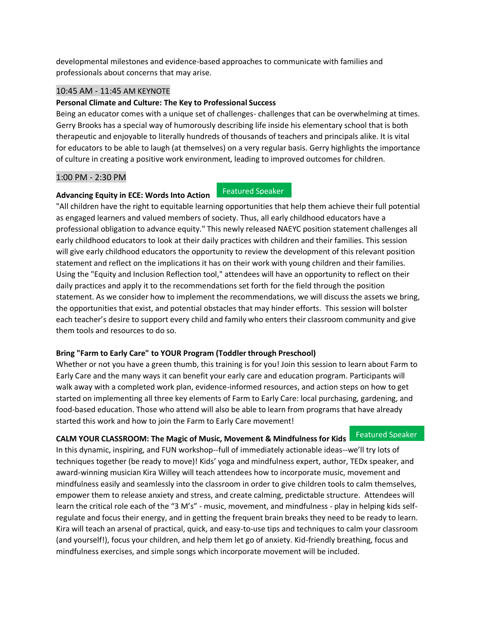developmental milestones and evidence-based approaches to communicate with families and professionals about concerns that may arise.

# 10:45 AM - 11:45 AM KEYNOTE

**Advancing Equity in ECE: Words Into Action**

#### **Personal Climate and Culture: The Key to Professional Success**

Being an educator comes with a unique set of challenges- challenges that can be overwhelming at times. Gerry Brooks has a special way of humorously describing life inside his elementary school that is both therapeutic and enjoyable to literally hundreds of thousands of teachers and principals alike. It is vital for educators to be able to laugh (at themselves) on a very regular basis. Gerry highlights the importance of culture in creating a positive work environment, leading to improved outcomes for children.

#### 1:00 PM - 2:30 PM

#### Featured Speaker

"All children have the right to equitable learning opportunities that help them achieve their full potential as engaged learners and valued members of society. Thus, all early childhood educators have a professional obligation to advance equity." This newly released NAEYC position statement challenges all early childhood educators to look at their daily practices with children and their families. This session will give early childhood educators the opportunity to review the development of this relevant position statement and reflect on the implications it has on their work with young children and their families. Using the "Equity and Inclusion Reflection tool," attendees will have an opportunity to reflect on their daily practices and apply it to the recommendations set forth for the field through the position statement. As we consider how to implement the recommendations, we will discuss the assets we bring, the opportunities that exist, and potential obstacles that may hinder efforts. This session will bolster each teacher's desire to support every child and family who enters their classroom community and give them tools and resources to do so.

### **Bring "Farm to Early Care" to YOUR Program (Toddler through Preschool)**

Whether or not you have a green thumb, this training is for you! Join this session to learn about Farm to Early Care and the many ways it can benefit your early care and education program. Participants will walk away with a completed work plan, evidence-informed resources, and action steps on how to get started on implementing all three key elements of Farm to Early Care: local purchasing, gardening, and food-based education. Those who attend will also be able to learn from programs that have already started this work and how to join the Farm to Early Care movement!

#### **CALM YOUR CLASSROOM: The Magic of Music, Movement & Mindfulness for Kids** Featured Speaker

In this dynamic, inspiring, and FUN workshop--full of immediately actionable ideas--we'll try lots of techniques together (be ready to move)! Kids' yoga and mindfulness expert, author, TEDx speaker, and award-winning musician Kira Willey will teach attendees how to incorporate music, movement and mindfulness easily and seamlessly into the classroom in order to give children tools to calm themselves, empower them to release anxiety and stress, and create calming, predictable structure. Attendees will learn the critical role each of the "3 M's" - music, movement, and mindfulness - play in helping kids selfregulate and focus their energy, and in getting the frequent brain breaks they need to be ready to learn. Kira will teach an arsenal of practical, quick, and easy-to-use tips and techniques to calm your classroom (and yourself!), focus your children, and help them let go of anxiety. Kid-friendly breathing, focus and mindfulness exercises, and simple songs which incorporate movement will be included.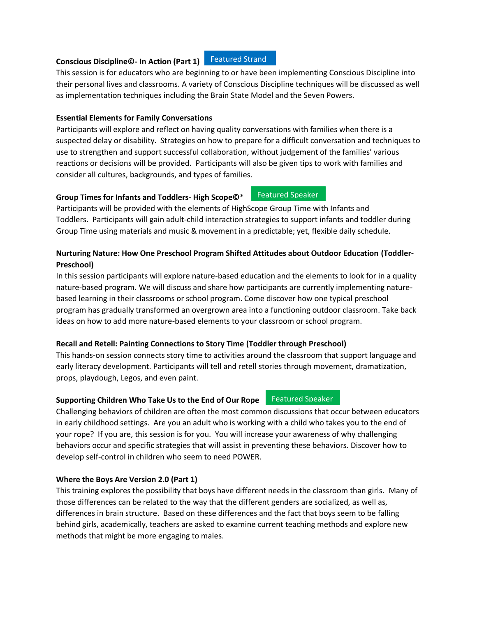#### **Conscious Discipline©- In Action (Part 1)** Featured Strand

This session is for educators who are beginning to or have been implementing Conscious Discipline into their personal lives and classrooms. A variety of Conscious Discipline techniques will be discussed as well as implementation techniques including the Brain State Model and the Seven Powers.

#### **Essential Elements for Family Conversations**

Participants will explore and reflect on having quality conversations with families when there is a suspected delay or disability. Strategies on how to prepare for a difficult conversation and techniques to use to strengthen and support successful collaboration, without judgement of the families' various reactions or decisions will be provided. Participants will also be given tips to work with families and consider all cultures, backgrounds, and types of families.

### **Group Times for Infants and Toddlers- High Scope©**\*

Participants will be provided with the elements of HighScope Group Time with Infants and Toddlers. Participants will gain adult-child interaction strategies to support infants and toddler during Group Time using materials and music & movement in a predictable; yet, flexible daily schedule.

# **Nurturing Nature: How One Preschool Program Shifted Attitudes about Outdoor Education (Toddler-Preschool)**

In this session participants will explore nature-based education and the elements to look for in a quality nature-based program. We will discuss and share how participants are currently implementing naturebased learning in their classrooms or school program. Come discover how one typical preschool program has gradually transformed an overgrown area into a functioning outdoor classroom. Take back ideas on how to add more nature-based elements to your classroom or school program.

### **Recall and Retell: Painting Connections to Story Time (Toddler through Preschool)**

This hands-on session connects story time to activities around the classroom that support language and early literacy development. Participants will tell and retell stories through movement, dramatization, props, playdough, Legos, and even paint.

#### **Supporting Children Who Take Us to the End of Our Rope**

Challenging behaviors of children are often the most common discussions that occur between educators in early childhood settings. Are you an adult who is working with a child who takes you to the end of your rope? If you are, this session is for you. You will increase your awareness of why challenging behaviors occur and specific strategies that will assist in preventing these behaviors. Discover how to develop self-control in children who seem to need POWER.

#### **Where the Boys Are Version 2.0 (Part 1)**

This training explores the possibility that boys have different needs in the classroom than girls. Many of those differences can be related to the way that the different genders are socialized, as well as, differences in brain structure. Based on these differences and the fact that boys seem to be falling behind girls, academically, teachers are asked to examine current teaching methods and explore new methods that might be more engaging to males.

#### Featured Speaker

Featured Speaker